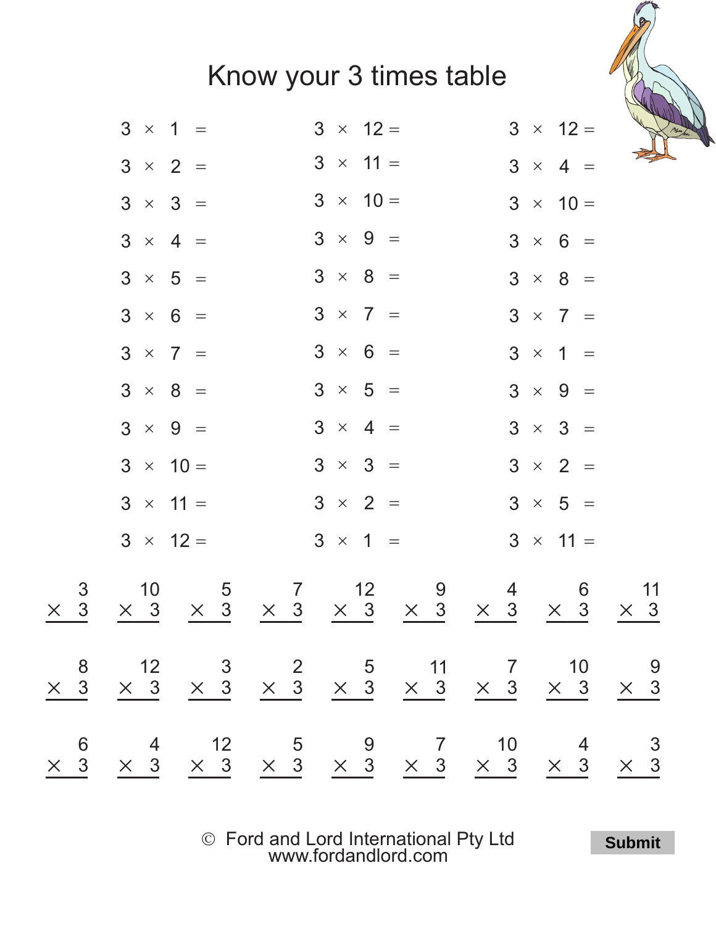

Ó Ford and Lord International Pty Ltd [www.fordandlord.com](http://www.fordandlord.com)

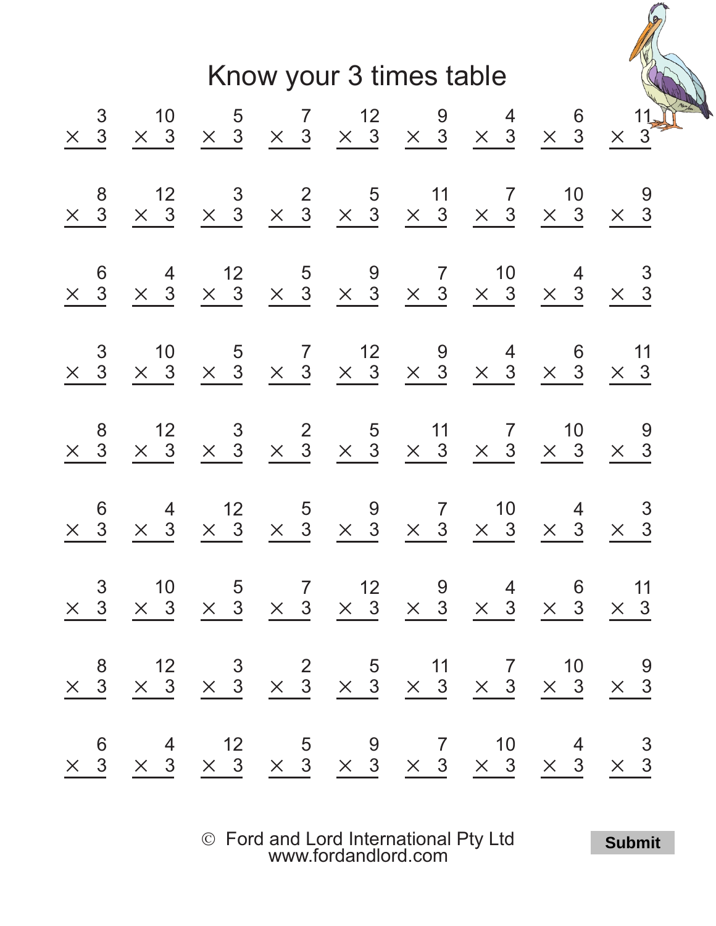

Ó Ford and Lord International Pty Ltd [www.fordandlord.com](http://www.fordandlord.com)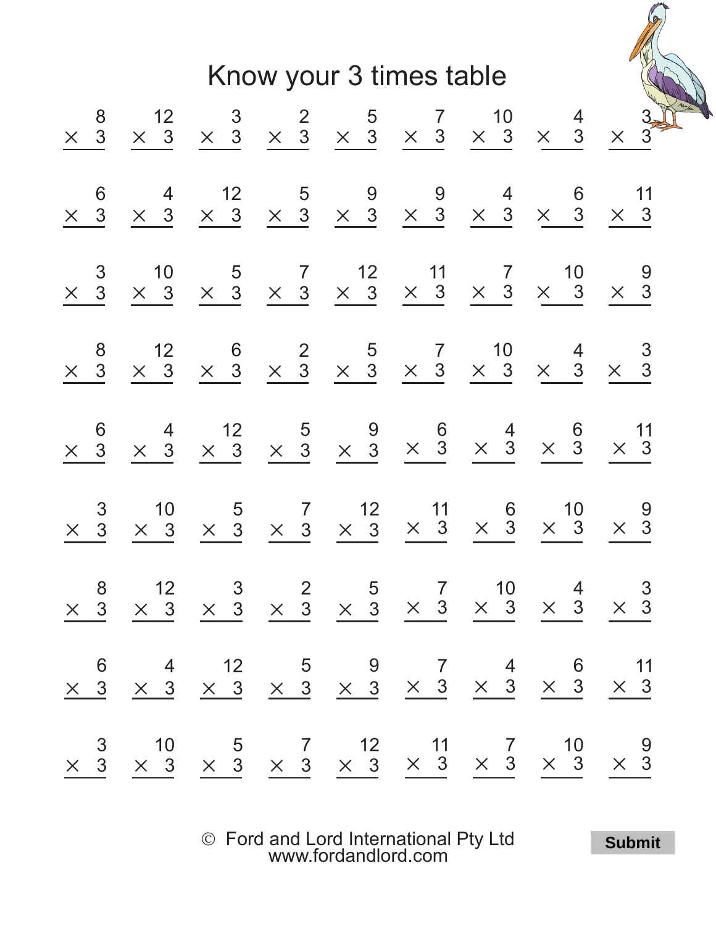

Ó Ford and Lord International Pty Ltd [www.fordandlord.com](http://www.fordandlord.com)